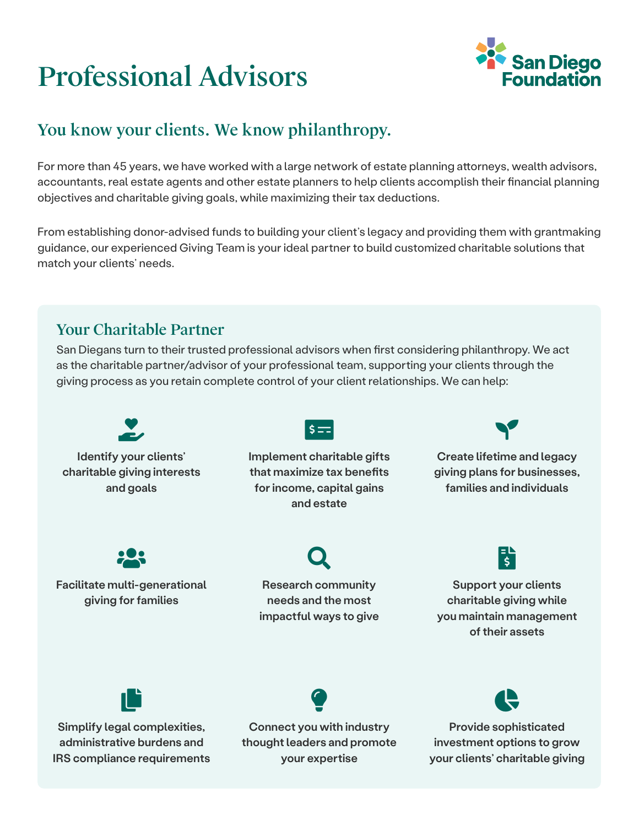# Professional Advisors



## You know your clients. We know philanthropy.

For more than 45 years, we have worked with a large network of estate planning attorneys, wealth advisors, accountants, real estate agents and other estate planners to help clients accomplish their financial planning objectives and charitable giving goals, while maximizing their tax deductions.

From establishing donor-advised funds to building your client's legacy and providing them with grantmaking guidance, our experienced Giving Team is your ideal partner to build customized charitable solutions that match your clients' needs.

## Your Charitable Partner

San Diegans turn to their trusted professional advisors when first considering philanthropy. We act as the charitable partner/advisor of your professional team, supporting your clients through the giving process as you retain complete control of your client relationships. We can help: